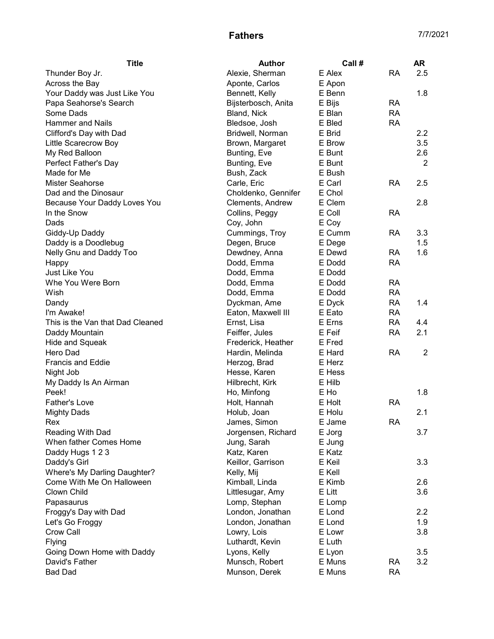## **Fathers** 7/7/2021

| <b>Title</b>                     | <b>Author</b>                   | Call # |           | <b>AR</b>      |
|----------------------------------|---------------------------------|--------|-----------|----------------|
| Thunder Boy Jr.                  | Alexie, Sherman                 | E Alex | <b>RA</b> | 2.5            |
| Across the Bay                   | Aponte, Carlos                  | E Apon |           |                |
| Your Daddy was Just Like You     | Bennett, Kelly                  | E Benn |           | 1.8            |
| Papa Seahorse's Search           | Bijsterbosch, Anita             | E Bijs | <b>RA</b> |                |
| Some Dads                        | Bland, Nick                     | E Blan | <b>RA</b> |                |
| <b>Hammer</b> and Nails          | Bledsoe, Josh                   | E Bled | <b>RA</b> |                |
| Clifford's Day with Dad          | Bridwell, Norman                | E Brid |           | 2.2            |
| Little Scarecrow Boy             | Brown, Margaret                 | E Brow |           | 3.5            |
| My Red Balloon                   | Bunting, Eve                    | E Bunt |           | 2.6            |
| Perfect Father's Day             | Bunting, Eve                    | E Bunt |           | $\overline{2}$ |
| Made for Me                      | Bush, Zack                      | E Bush |           |                |
| <b>Mister Seahorse</b>           | Carle, Eric                     | E Carl | <b>RA</b> | 2.5            |
| Dad and the Dinosaur             | Choldenko, Gennifer             | E Chol |           |                |
| Because Your Daddy Loves You     | Clements, Andrew                | E Clem |           | 2.8            |
| In the Snow                      | Collins, Peggy                  | E Coll | <b>RA</b> |                |
| Dads                             | Coy, John                       | E Coy  |           |                |
| Giddy-Up Daddy                   | Cummings, Troy                  | E Cumm | <b>RA</b> | 3.3            |
| Daddy is a Doodlebug             | Degen, Bruce                    | E Dege |           | 1.5            |
| Nelly Gnu and Daddy Too          | Dewdney, Anna                   | E Dewd | <b>RA</b> | 1.6            |
| Happy                            | Dodd, Emma                      | E Dodd | <b>RA</b> |                |
| Just Like You                    | Dodd, Emma                      | E Dodd |           |                |
| Whe You Were Born                | Dodd, Emma                      | E Dodd | <b>RA</b> |                |
| Wish                             | Dodd, Emma                      | E Dodd | <b>RA</b> |                |
| Dandy                            | Dyckman, Ame                    | E Dyck | <b>RA</b> | 1.4            |
| I'm Awake!                       | Eaton, Maxwell III              | E Eato | <b>RA</b> |                |
| This is the Van that Dad Cleaned | Ernst, Lisa                     | E Erns | <b>RA</b> | 4.4            |
| Daddy Mountain                   | Feiffer, Jules                  | E Feif | <b>RA</b> | 2.1            |
| Hide and Squeak                  | Frederick, Heather              | E Fred |           |                |
| Hero Dad                         | Hardin, Melinda                 | E Hard | <b>RA</b> | $\overline{c}$ |
| Francis and Eddie                | Herzog, Brad                    | E Herz |           |                |
|                                  |                                 | E Hess |           |                |
| Night Job                        | Hesse, Karen<br>Hilbrecht, Kirk | E Hilb |           |                |
| My Daddy Is An Airman<br>Peek!   |                                 | E Ho   |           | 1.8            |
|                                  | Ho, Minfong                     | E Holt | <b>RA</b> |                |
| <b>Father's Love</b>             | Holt, Hannah                    |        |           | 2.1            |
| <b>Mighty Dads</b>               | Holub, Joan                     | E Holu |           |                |
| Rex                              | James, Simon                    | E Jame | <b>RA</b> |                |
| Reading With Dad                 | Jorgensen, Richard              | E Jorg |           | 3.7            |
| When father Comes Home           | Jung, Sarah                     | E Jung |           |                |
| Daddy Hugs 1 2 3                 | Katz, Karen                     | E Katz |           |                |
| Daddy's Girl                     | Keillor, Garrison               | E Keil |           | 3.3            |
| Where's My Darling Daughter?     | Kelly, Mij                      | E Kell |           |                |
| Come With Me On Halloween        | Kimball, Linda                  | E Kimb |           | 2.6            |
| Clown Child                      | Littlesugar, Amy                | E Litt |           | 3.6            |
| Papasaurus                       | Lomp, Stephan                   | E Lomp |           |                |
| Froggy's Day with Dad            | London, Jonathan                | E Lond |           | 2.2            |
| Let's Go Froggy                  | London, Jonathan                | E Lond |           | 1.9            |
| Crow Call                        | Lowry, Lois                     | E Lowr |           | 3.8            |
| Flying                           | Luthardt, Kevin                 | E Luth |           |                |
| Going Down Home with Daddy       | Lyons, Kelly                    | E Lyon |           | 3.5            |
| David's Father                   | Munsch, Robert                  | E Muns | <b>RA</b> | 3.2            |
| <b>Bad Dad</b>                   | Munson, Derek                   | E Muns | <b>RA</b> |                |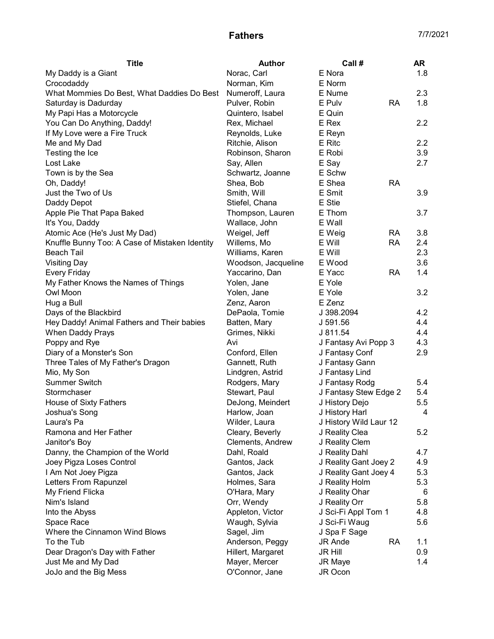## **Fathers** 7/7/2021

| <b>Title</b>                                   | <b>Author</b>       | Call #                      | AR  |
|------------------------------------------------|---------------------|-----------------------------|-----|
| My Daddy is a Giant                            | Norac, Carl         | E Nora                      | 1.8 |
| Crocodaddy                                     | Norman, Kim         | E Norm                      |     |
| What Mommies Do Best, What Daddies Do Best     | Numeroff, Laura     | E Nume                      | 2.3 |
| Saturday is Dadurday                           | Pulver, Robin       | <b>RA</b><br>E Pulv         | 1.8 |
| My Papi Has a Motorcycle                       | Quintero, Isabel    | E Quin                      |     |
| You Can Do Anything, Daddy!                    | Rex, Michael        | E Rex                       | 2.2 |
| If My Love were a Fire Truck                   | Reynolds, Luke      | E Reyn                      |     |
| Me and My Dad                                  | Ritchie, Alison     | E Ritc                      | 2.2 |
| Testing the Ice                                | Robinson, Sharon    | E Robi                      | 3.9 |
| Lost Lake                                      | Say, Allen          | E Say                       | 2.7 |
| Town is by the Sea                             | Schwartz, Joanne    | E Schw                      |     |
| Oh, Daddy!                                     | Shea, Bob           | E Shea<br><b>RA</b>         |     |
| Just the Two of Us                             | Smith, Will         | E Smit                      | 3.9 |
| Daddy Depot                                    | Stiefel, Chana      | E Stie                      |     |
| Apple Pie That Papa Baked                      | Thompson, Lauren    | E Thom                      | 3.7 |
| It's You, Daddy                                | Wallace, John       | E Wall                      |     |
| Atomic Ace (He's Just My Dad)                  | Weigel, Jeff        | E Weig<br><b>RA</b>         | 3.8 |
| Knuffle Bunny Too: A Case of Mistaken Identity | Willems, Mo         | <b>RA</b><br>E Will         | 2.4 |
| <b>Beach Tail</b>                              | Williams, Karen     | E Will                      | 2.3 |
| <b>Visiting Day</b>                            | Woodson, Jacqueline | E Wood                      | 3.6 |
| <b>Every Friday</b>                            | Yaccarino, Dan      | E Yacc<br><b>RA</b>         | 1.4 |
| My Father Knows the Names of Things            | Yolen, Jane         | E Yole                      |     |
| Owl Moon                                       | Yolen, Jane         | E Yole                      | 3.2 |
| Hug a Bull                                     | Zenz, Aaron         | E Zenz                      |     |
| Days of the Blackbird                          | DePaola, Tomie      | J 398.2094                  | 4.2 |
| Hey Daddy! Animal Fathers and Their babies     | Batten, Mary        | J 591.56                    | 4.4 |
| When Daddy Prays                               | Grimes, Nikki       | J 811.54                    | 4.4 |
| Poppy and Rye                                  | Avi                 | J Fantasy Avi Popp 3        | 4.3 |
| Diary of a Monster's Son                       | Conford, Ellen      | J Fantasy Conf              | 2.9 |
| Three Tales of My Father's Dragon              | Gannett, Ruth       | J Fantasy Gann              |     |
| Mio, My Son                                    | Lindgren, Astrid    | J Fantasy Lind              |     |
| <b>Summer Switch</b>                           | Rodgers, Mary       | J Fantasy Rodg              | 5.4 |
| Stormchaser                                    | Stewart, Paul       | J Fantasy Stew Edge 2       | 5.4 |
| House of Sixty Fathers                         | DeJong, Meindert    | J History Dejo              | 5.5 |
| Joshua's Song                                  | Harlow, Joan        | J History Harl              | 4   |
| Laura's Pa                                     | Wilder, Laura       | J History Wild Laur 12      |     |
| Ramona and Her Father                          | Cleary, Beverly     | J Reality Clea              | 5.2 |
| Janitor's Boy                                  | Clements, Andrew    | J Reality Clem              |     |
| Danny, the Champion of the World               | Dahl, Roald         | J Reality Dahl              | 4.7 |
| Joey Pigza Loses Control                       | Gantos, Jack        | J Reality Gant Joey 2       | 4.9 |
| I Am Not Joey Pigza                            | Gantos, Jack        | J Reality Gant Joey 4       | 5.3 |
| Letters From Rapunzel                          | Holmes, Sara        | J Reality Holm              | 5.3 |
| My Friend Flicka                               | O'Hara, Mary        | J Reality Ohar              | 6   |
| Nim's Island                                   | Orr, Wendy          | J Reality Orr               | 5.8 |
| Into the Abyss                                 | Appleton, Victor    | J Sci-Fi Appl Tom 1         | 4.8 |
| Space Race                                     | Waugh, Sylvia       | J Sci-Fi Waug               | 5.6 |
| Where the Cinnamon Wind Blows                  | Sagel, Jim          | J Spa F Sage                |     |
| To the Tub                                     | Anderson, Peggy     | <b>JR Ande</b><br><b>RA</b> | 1.1 |
| Dear Dragon's Day with Father                  | Hillert, Margaret   | <b>JR Hill</b>              | 0.9 |
| Just Me and My Dad                             | Mayer, Mercer       | JR Maye                     | 1.4 |
| JoJo and the Big Mess                          | O'Connor, Jane      | JR Ocon                     |     |
|                                                |                     |                             |     |